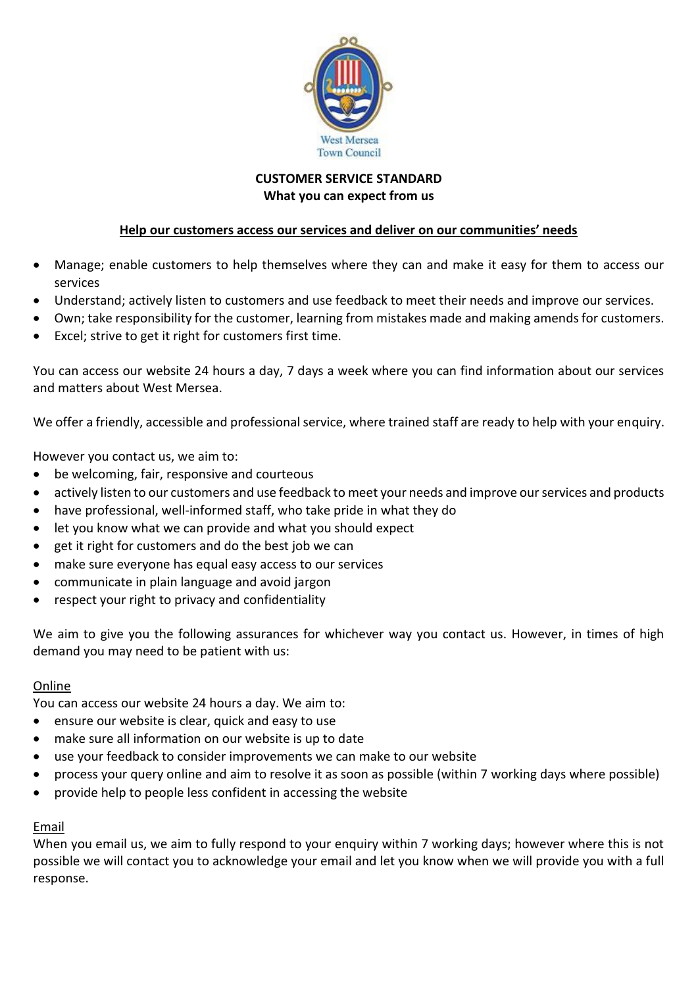

# **CUSTOMER SERVICE STANDARD What you can expect from us**

## **Help our customers access our services and deliver on our communities' needs**

- Manage; enable customers to help themselves where they can and make it easy for them to access our services
- Understand; actively listen to customers and use feedback to meet their needs and improve our services.
- Own; take responsibility for the customer, learning from mistakes made and making amends for customers.
- Excel; strive to get it right for customers first time.

You can access our website 24 hours a day, 7 days a week where you can find information about our services and matters about West Mersea.

We offer a friendly, accessible and professional service, where trained staff are ready to help with your enquiry.

However you contact us, we aim to:

- be welcoming, fair, responsive and courteous
- actively listen to our customers and use feedback to meet your needs and improve our services and products
- have professional, well-informed staff, who take pride in what they do
- let you know what we can provide and what you should expect
- get it right for customers and do the best job we can
- make sure everyone has equal easy access to our services
- communicate in plain language and avoid jargon
- respect your right to privacy and confidentiality

We aim to give you the following assurances for whichever way you contact us. However, in times of high demand you may need to be patient with us:

## Online

You can access our website 24 hours a day. We aim to:

- ensure our website is clear, quick and easy to use
- make sure all information on our website is up to date
- use your feedback to consider improvements we can make to our website
- process your query online and aim to resolve it as soon as possible (within 7 working days where possible)
- provide help to people less confident in accessing the website

## Email

When you email us, we aim to fully respond to your enquiry within 7 working days; however where this is not possible we will contact you to acknowledge your email and let you know when we will provide you with a full response.